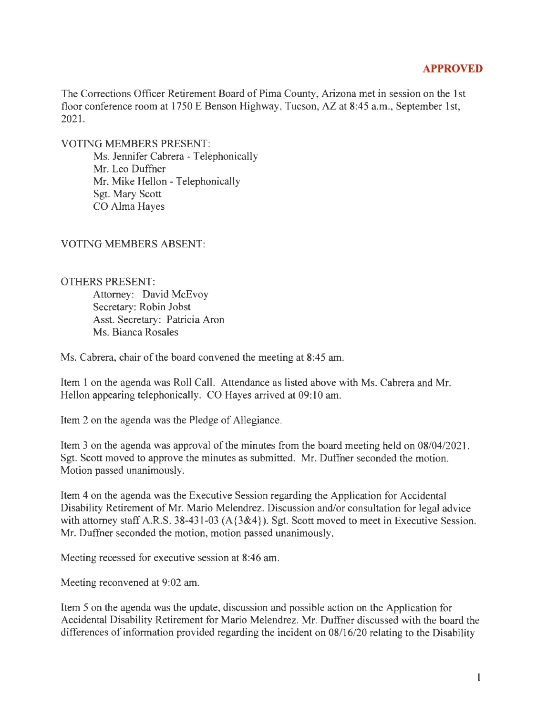## **APPROVED**

The Corrections Officer Retirement Board of Pima County, Arizona met in session on the 1st floor conference room at 1750 E Benson Highway, Tucson, AZ at 8:45 a.m., September 1st, 2021.

VOTING MEMBERS PRESENT:

Ms. Jennifer Cabrera - Telephonically Mr. Leo Duffner Mr. Mike Hellon - Telephonically Sgt. Mary Scott CO Alma Hayes

VOTING MEMBERS ABSENT:

OTHERS PRESENT:

Attorney: David McEvoy Secretary: Robin Jobst Asst. Secretary: Patricia Aron Ms. Bianca Rosales

Ms. Cabrera, chair of the board convened the meeting at 8:45 am.

Item 1 on the agenda was Roll Call. Attendance as listed above with Ms. Cabrera and Mr. Hellon appearing telephonically. CO Hayes arrived at 09:10 am.

Item 2 on the agenda was the Pledge of Allegiance.

Item 3 on the agenda was approval of the minutes from the board meeting held on 08/04/2021 . Sgt. Scott moved to approve the minutes as submitted. Mr. Duffner seconded the motion. Motion passed unanimously.

Item 4 on the agenda was the Executive Session regarding the Application for Accidental Disability Retirement of Mr. Mario Melendrez. Discussion and/or consultation for legal advice with attorney staff A.R.S. 38-431-03 (A{3&4}). Sgt. Scott moved to meet in Executive Session. Mr. Duffner seconded the motion, motion passed unanimously.

Meeting recessed for executive session at 8:46 am.

Meeting reconvened at 9:02 am.

Item 5 on the agenda was the update, discussion and possible action on the Application for Accidental Disability Retirement for Mario Melendrez. Mr. Duffner discussed with the board the differences of information provided regarding the incident on 08/16/20 relating to the Disability